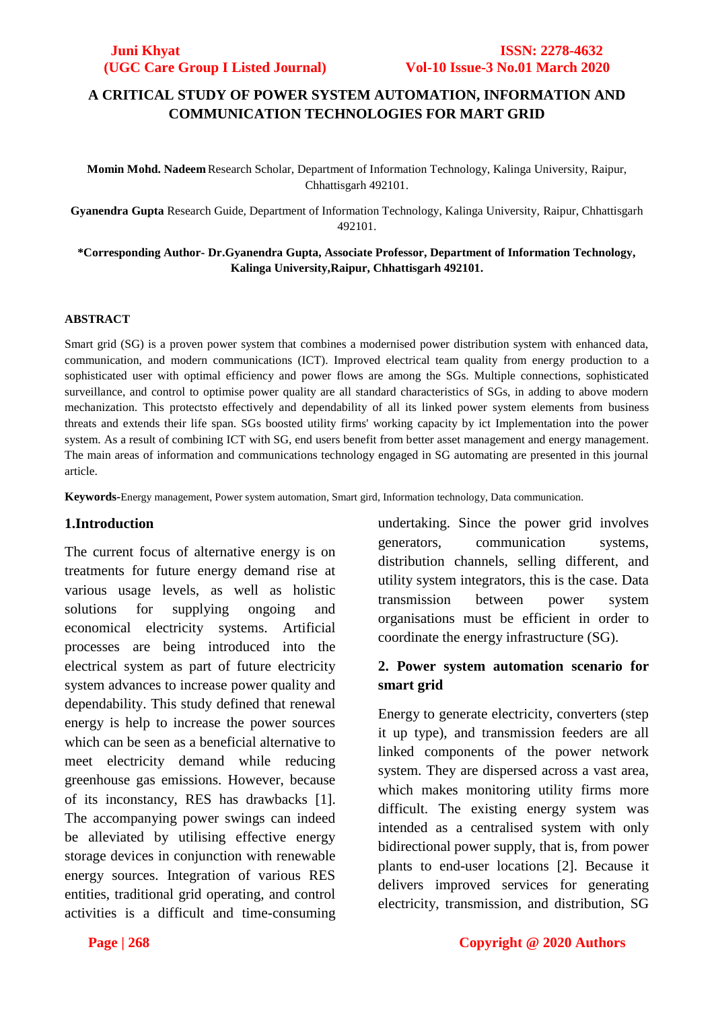## **A CRITICAL STUDY OF POWER SYSTEM AUTOMATION, INFORMATION AND COMMUNICATION TECHNOLOGIES FOR MART GRID**

**Momin Mohd. Nadeem** Research Scholar, Department of Information Technology, Kalinga University, Raipur, Chhattisgarh 492101.

**Gyanendra Gupta** Research Guide, Department of Information Technology, Kalinga University, Raipur, Chhattisgarh 492101.

### **\*Corresponding Author- Dr.Gyanendra Gupta, Associate Professor, Department of Information Technology, Kalinga University,Raipur, Chhattisgarh 492101.**

### **ABSTRACT**

Smart grid (SG) is a proven power system that combines a modernised power distribution system with enhanced data, communication, and modern communications (ICT). Improved electrical team quality from energy production to a sophisticated user with optimal efficiency and power flows are among the SGs. Multiple connections, sophisticated surveillance, and control to optimise power quality are all standard characteristics of SGs, in adding to above modern mechanization. This protectsto effectively and dependability of all its linked power system elements from business threats and extends their life span. SGs boosted utility firms' working capacity by ict Implementation into the power system. As a result of combining ICT with SG, end users benefit from better asset management and energy management. The main areas of information and communications technology engaged in SG automating are presented in this journal article.

**Keywords-**Energy management, Power system automation, Smart gird, Information technology, Data communication.

### **1.Introduction**

The current focus of alternative energy is on treatments for future energy demand rise at various usage levels, as well as holistic solutions for supplying ongoing and economical electricity systems. Artificial processes are being introduced into the electrical system as part of future electricity system advances to increase power quality and dependability. This study defined that renewal energy is help to increase the power sources which can be seen as a beneficial alternative to meet electricity demand while reducing greenhouse gas emissions. However, because of its inconstancy, RES has drawbacks [1]. The accompanying power swings can indeed be alleviated by utilising effective energy storage devices in conjunction with renewable energy sources. Integration of various RES entities, traditional grid operating, and control activities is a difficult and time-consuming undertaking. Since the power grid involves generators, communication systems, distribution channels, selling different, and utility system integrators, this is the case. Data transmission between power system organisations must be efficient in order to coordinate the energy infrastructure (SG).

## **2. Power system automation scenario for smart grid**

Energy to generate electricity, converters (step it up type), and transmission feeders are all linked components of the power network system. They are dispersed across a vast area, which makes monitoring utility firms more difficult. The existing energy system was intended as a centralised system with only bidirectional power supply, that is, from power plants to end-user locations [2]. Because it delivers improved services for generating electricity, transmission, and distribution, SG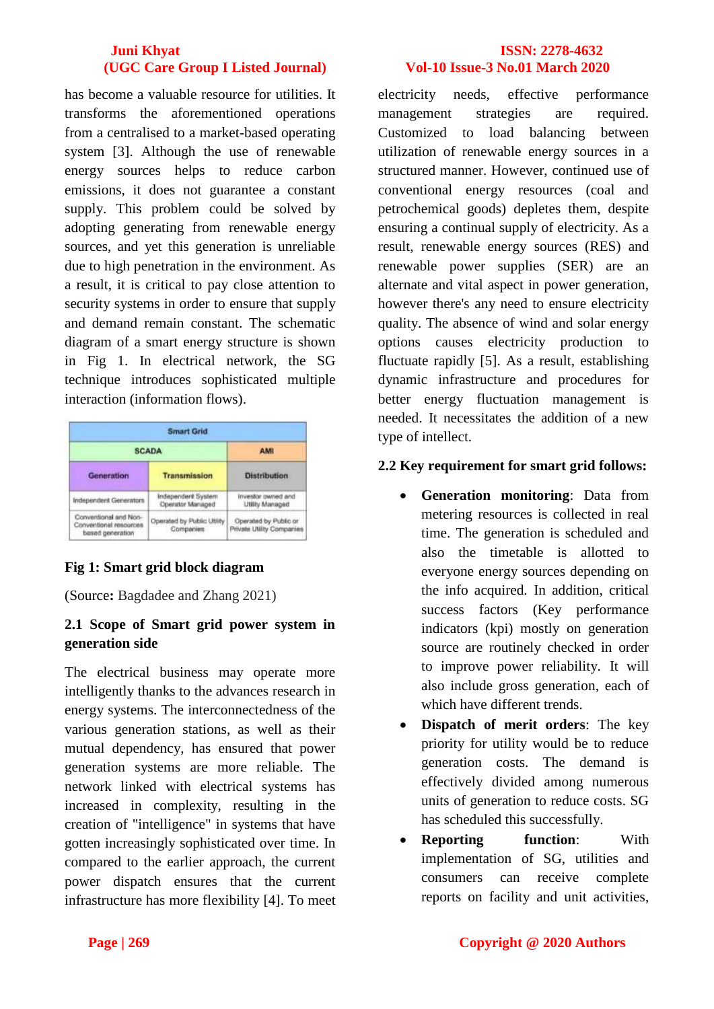has become a valuable resource for utilities. It transforms the aforementioned operations from a centralised to a market-based operating system [3]. Although the use of renewable energy sources helps to reduce carbon emissions, it does not guarantee a constant supply. This problem could be solved by adopting generating from renewable energy sources, and yet this generation is unreliable due to high penetration in the environment. As a result, it is critical to pay close attention to security systems in order to ensure that supply and demand remain constant. The schematic diagram of a smart energy structure is shown in Fig 1. In electrical network, the SG technique introduces sophisticated multiple interaction (information flows).

| <b>Smart Grid</b>                                                   |                                         |                                                    |
|---------------------------------------------------------------------|-----------------------------------------|----------------------------------------------------|
| <b>SCADA</b>                                                        |                                         | <b>AMI</b>                                         |
| Generation                                                          | <b>Transmission</b>                     | <b>Distribution</b>                                |
| Independent Generators                                              | Independent System<br>Operator Managed  | Investor nwhed and<br>Utility Managed              |
| Conventional and Non-<br>Conventional resources<br>based generation | Operated by Public Utility<br>Companies | Operated by Public or<br>Private Utility Companies |

# **Fig 1: Smart grid block diagram**

(Source**:** Bagdadee and Zhang 2021)

# **2.1 Scope of Smart grid power system in generation side**

The electrical business may operate more intelligently thanks to the advances research in energy systems. The interconnectedness of the various generation stations, as well as their mutual dependency, has ensured that power generation systems are more reliable. The network linked with electrical systems has increased in complexity, resulting in the creation of "intelligence" in systems that have gotten increasingly sophisticated over time. In compared to the earlier approach, the current power dispatch ensures that the current infrastructure has more flexibility [4]. To meet

electricity needs, effective performance management strategies are required. Customized to load balancing between utilization of renewable energy sources in a structured manner. However, continued use of conventional energy resources (coal and petrochemical goods) depletes them, despite ensuring a continual supply of electricity. As a result, renewable energy sources (RES) and renewable power supplies (SER) are an alternate and vital aspect in power generation, however there's any need to ensure electricity quality. The absence of wind and solar energy options causes electricity production to fluctuate rapidly [5]. As a result, establishing dynamic infrastructure and procedures for better energy fluctuation management is needed. It necessitates the addition of a new type of intellect.

## **2.2 Key requirement for smart grid follows:**

- **Generation monitoring**: Data from metering resources is collected in real time. The generation is scheduled and also the timetable is allotted to everyone energy sources depending on the info acquired. In addition, critical success factors (Key performance indicators (kpi) mostly on generation source are routinely checked in order to improve power reliability. It will also include gross generation, each of which have different trends.
- **Dispatch of merit orders**: The key priority for utility would be to reduce generation costs. The demand is effectively divided among numerous units of generation to reduce costs. SG has scheduled this successfully.
- **Reporting function**: With implementation of SG, utilities and consumers can receive complete reports on facility and unit activities,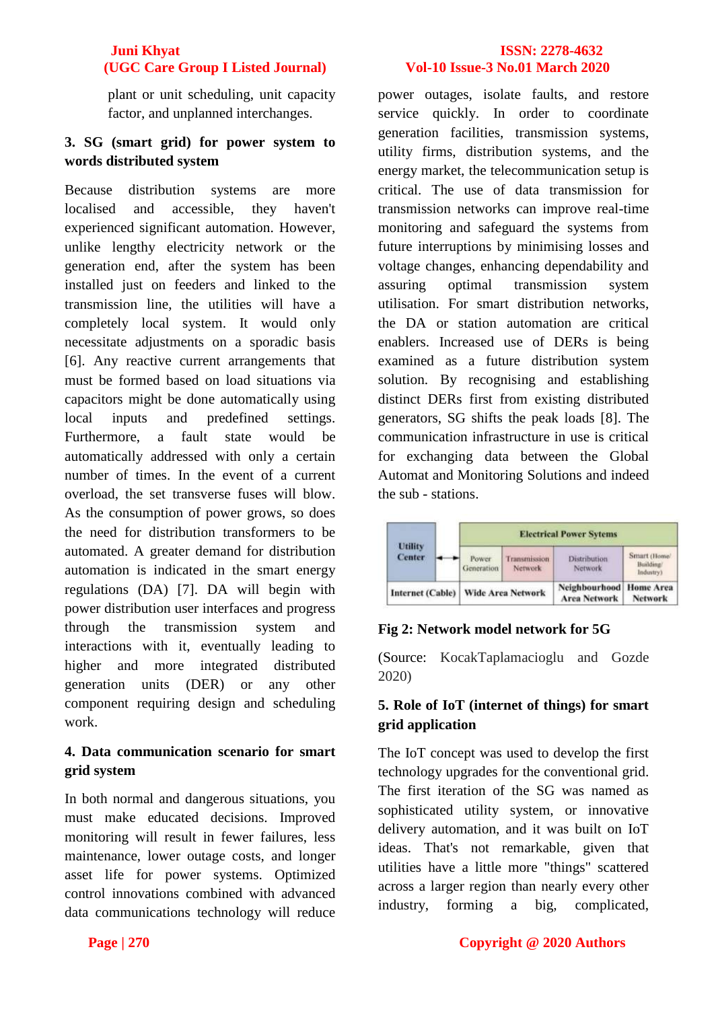plant or unit scheduling, unit capacity factor, and unplanned interchanges.

## **3. SG (smart grid) for power system to words distributed system**

Because distribution systems are more localised and accessible, they haven't experienced significant automation. However, unlike lengthy electricity network or the generation end, after the system has been installed just on feeders and linked to the transmission line, the utilities will have a completely local system. It would only necessitate adjustments on a sporadic basis [6]. Any reactive current arrangements that must be formed based on load situations via capacitors might be done automatically using local inputs and predefined settings. Furthermore, a fault state would be automatically addressed with only a certain number of times. In the event of a current overload, the set transverse fuses will blow. As the consumption of power grows, so does the need for distribution transformers to be automated. A greater demand for distribution automation is indicated in the smart energy regulations (DA) [7]. DA will begin with power distribution user interfaces and progress through the transmission system and interactions with it, eventually leading to higher and more integrated distributed generation units (DER) or any other component requiring design and scheduling work.

## **4. Data communication scenario for smart grid system**

In both normal and dangerous situations, you must make educated decisions. Improved monitoring will result in fewer failures, less maintenance, lower outage costs, and longer asset life for power systems. Optimized control innovations combined with advanced data communications technology will reduce power outages, isolate faults, and restore service quickly. In order to coordinate generation facilities, transmission systems, utility firms, distribution systems, and the energy market, the telecommunication setup is critical. The use of data transmission for transmission networks can improve real-time monitoring and safeguard the systems from future interruptions by minimising losses and voltage changes, enhancing dependability and assuring optimal transmission system utilisation. For smart distribution networks, the DA or station automation are critical enablers. Increased use of DERs is being examined as a future distribution system solution. By recognising and establishing distinct DERs first from existing distributed generators, SG shifts the peak loads [8]. The communication infrastructure in use is critical for exchanging data between the Global Automat and Monitoring Solutions and indeed the sub - stations.



## **Fig 2: Network model network for 5G**

(Source: KocakTaplamacioglu and Gozde 2020)

## **5. Role of IoT (internet of things) for smart grid application**

The IoT concept was used to develop the first technology upgrades for the conventional grid. The first iteration of the SG was named as sophisticated utility system, or innovative delivery automation, and it was built on IoT ideas. That's not remarkable, given that utilities have a little more "things" scattered across a larger region than nearly every other industry, forming a big, complicated,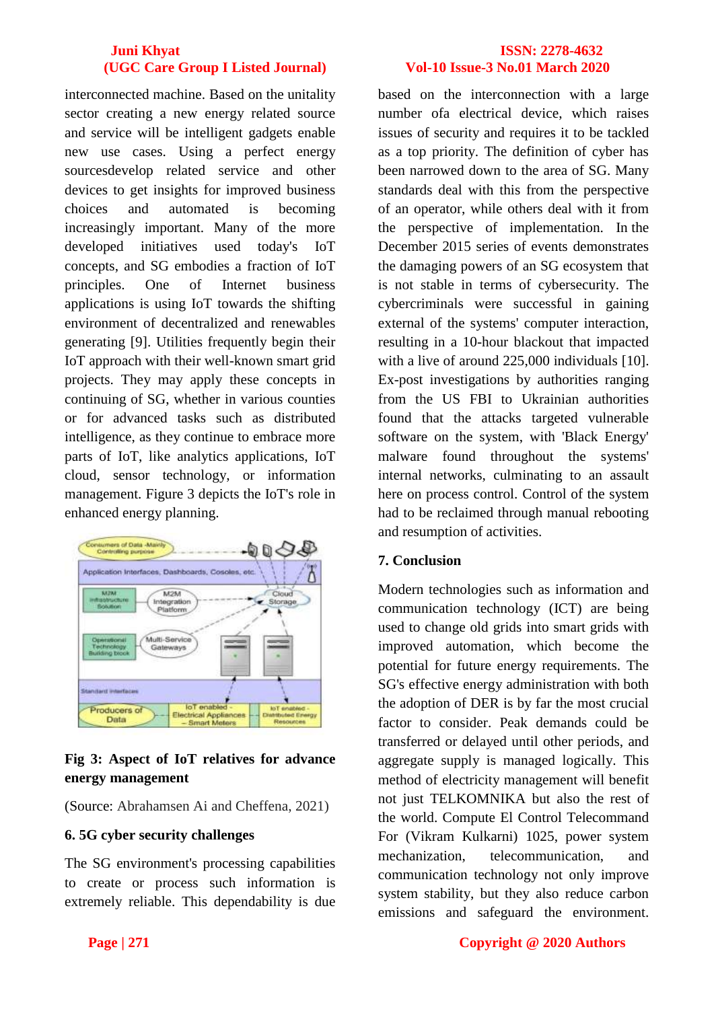interconnected machine. Based on the unitality sector creating a new energy related source and service will be intelligent gadgets enable new use cases. Using a perfect energy sourcesdevelop related service and other devices to get insights for improved business choices and automated is becoming increasingly important. Many of the more developed initiatives used today's IoT concepts, and SG embodies a fraction of IoT principles. One of Internet business applications is using IoT towards the shifting environment of decentralized and renewables generating [9]. Utilities frequently begin their IoT approach with their well-known smart grid projects. They may apply these concepts in continuing of SG, whether in various counties or for advanced tasks such as distributed intelligence, as they continue to embrace more parts of IoT, like analytics applications, IoT cloud, sensor technology, or information management. Figure 3 depicts the IoT's role in enhanced energy planning.



# **Fig 3: Aspect of IoT relatives for advance energy management**

(Source: Abrahamsen Ai and Cheffena, 2021)

# **6. 5G cyber security challenges**

The SG environment's processing capabilities to create or process such information is extremely reliable. This dependability is due

based on the interconnection with a large number ofa electrical device, which raises issues of security and requires it to be tackled as a top priority. The definition of cyber has been narrowed down to the area of SG. Many standards deal with this from the perspective of an operator, while others deal with it from the perspective of implementation. In the December 2015 series of events demonstrates the damaging powers of an SG ecosystem that is not stable in terms of cybersecurity. The cybercriminals were successful in gaining external of the systems' computer interaction, resulting in a 10-hour blackout that impacted with a live of around 225,000 individuals [10]. Ex-post investigations by authorities ranging from the US FBI to Ukrainian authorities found that the attacks targeted vulnerable software on the system, with 'Black Energy' malware found throughout the systems' internal networks, culminating to an assault here on process control. Control of the system had to be reclaimed through manual rebooting and resumption of activities.

# **7. Conclusion**

Modern technologies such as information and communication technology (ICT) are being used to change old grids into smart grids with improved automation, which become the potential for future energy requirements. The SG's effective energy administration with both the adoption of DER is by far the most crucial factor to consider. Peak demands could be transferred or delayed until other periods, and aggregate supply is managed logically. This method of electricity management will benefit not just TELKOMNIKA but also the rest of the world. Compute El Control Telecommand For (Vikram Kulkarni) 1025, power system mechanization, telecommunication, and communication technology not only improve system stability, but they also reduce carbon emissions and safeguard the environment.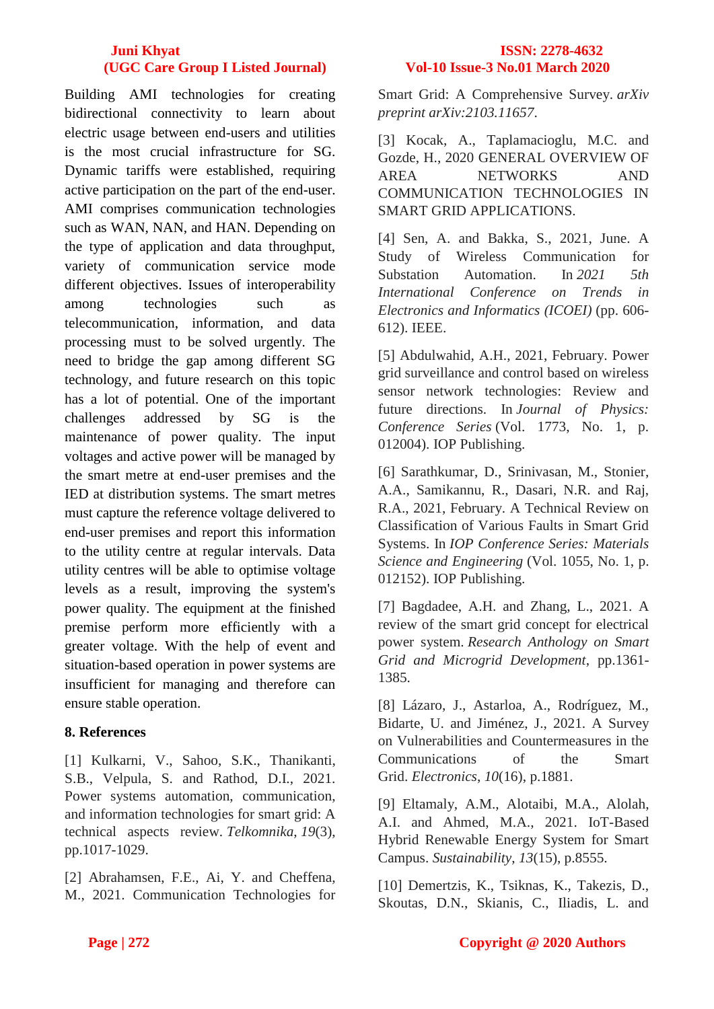Building AMI technologies for creating bidirectional connectivity to learn about electric usage between end-users and utilities is the most crucial infrastructure for SG. Dynamic tariffs were established, requiring active participation on the part of the end-user. AMI comprises communication technologies such as WAN, NAN, and HAN. Depending on the type of application and data throughput, variety of communication service mode different objectives. Issues of interoperability among technologies such as telecommunication, information, and data processing must to be solved urgently. The need to bridge the gap among different SG technology, and future research on this topic has a lot of potential. One of the important challenges addressed by SG is the maintenance of power quality. The input voltages and active power will be managed by the smart metre at end-user premises and the IED at distribution systems. The smart metres must capture the reference voltage delivered to end-user premises and report this information to the utility centre at regular intervals. Data utility centres will be able to optimise voltage levels as a result, improving the system's power quality. The equipment at the finished premise perform more efficiently with a greater voltage. With the help of event and situation-based operation in power systems are insufficient for managing and therefore can ensure stable operation.

## **8. References**

[1] Kulkarni, V., Sahoo, S.K., Thanikanti, S.B., Velpula, S. and Rathod, D.I., 2021. Power systems automation, communication, and information technologies for smart grid: A technical aspects review. *Telkomnika*, *19*(3), pp.1017-1029.

[2] Abrahamsen, F.E., Ai, Y. and Cheffena, M., 2021. Communication Technologies for

Smart Grid: A Comprehensive Survey. *arXiv preprint arXiv:2103.11657*.

[3] Kocak, A., Taplamacioglu, M.C. and Gozde, H., 2020 GENERAL OVERVIEW OF AREA NETWORKS AND COMMUNICATION TECHNOLOGIES IN SMART GRID APPLICATIONS.

[4] Sen, A. and Bakka, S., 2021, June. A Study of Wireless Communication for Substation Automation. In *2021 5th International Conference on Trends in Electronics and Informatics (ICOEI)* (pp. 606- 612). IEEE.

[5] Abdulwahid, A.H., 2021, February. Power grid surveillance and control based on wireless sensor network technologies: Review and future directions. In *Journal of Physics: Conference Series* (Vol. 1773, No. 1, p. 012004). IOP Publishing.

[6] Sarathkumar, D., Srinivasan, M., Stonier, A.A., Samikannu, R., Dasari, N.R. and Raj, R.A., 2021, February. A Technical Review on Classification of Various Faults in Smart Grid Systems. In *IOP Conference Series: Materials Science and Engineering* (Vol. 1055, No. 1, p. 012152). IOP Publishing.

[7] Bagdadee, A.H. and Zhang, L., 2021. A review of the smart grid concept for electrical power system. *Research Anthology on Smart Grid and Microgrid Development*, pp.1361- 1385.

[8] Lázaro, J., Astarloa, A., Rodríguez, M., Bidarte, U. and Jiménez, J., 2021. A Survey on Vulnerabilities and Countermeasures in the Communications of the Smart Grid. *Electronics*, *10*(16), p.1881.

[9] Eltamaly, A.M., Alotaibi, M.A., Alolah, A.I. and Ahmed, M.A., 2021. IoT-Based Hybrid Renewable Energy System for Smart Campus. *Sustainability*, *13*(15), p.8555.

[10] Demertzis, K., Tsiknas, K., Takezis, D., Skoutas, D.N., Skianis, C., Iliadis, L. and